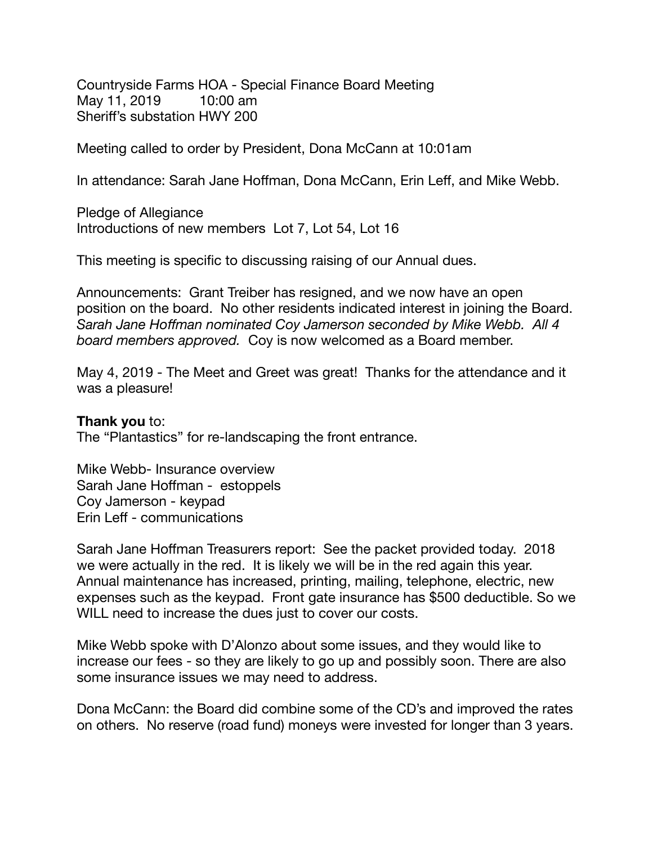Countryside Farms HOA - Special Finance Board Meeting May 11, 2019 10:00 am Sheriff's substation HWY 200

Meeting called to order by President, Dona McCann at 10:01am

In attendance: Sarah Jane Hoffman, Dona McCann, Erin Leff, and Mike Webb.

Pledge of Allegiance Introductions of new members Lot 7, Lot 54, Lot 16

This meeting is specific to discussing raising of our Annual dues.

Announcements: Grant Treiber has resigned, and we now have an open position on the board. No other residents indicated interest in joining the Board. *Sarah Jane Hoffman nominated Coy Jamerson seconded by Mike Webb. All 4 board members approved.* Coy is now welcomed as a Board member.

May 4, 2019 - The Meet and Greet was great! Thanks for the attendance and it was a pleasure!

## **Thank you** to:

The "Plantastics" for re-landscaping the front entrance.

Mike Webb- Insurance overview Sarah Jane Hoffman - estoppels Coy Jamerson - keypad Erin Leff - communications

Sarah Jane Hoffman Treasurers report: See the packet provided today. 2018 we were actually in the red. It is likely we will be in the red again this year. Annual maintenance has increased, printing, mailing, telephone, electric, new expenses such as the keypad. Front gate insurance has \$500 deductible. So we WILL need to increase the dues just to cover our costs.

Mike Webb spoke with D'Alonzo about some issues, and they would like to increase our fees - so they are likely to go up and possibly soon. There are also some insurance issues we may need to address.

Dona McCann: the Board did combine some of the CD's and improved the rates on others. No reserve (road fund) moneys were invested for longer than 3 years.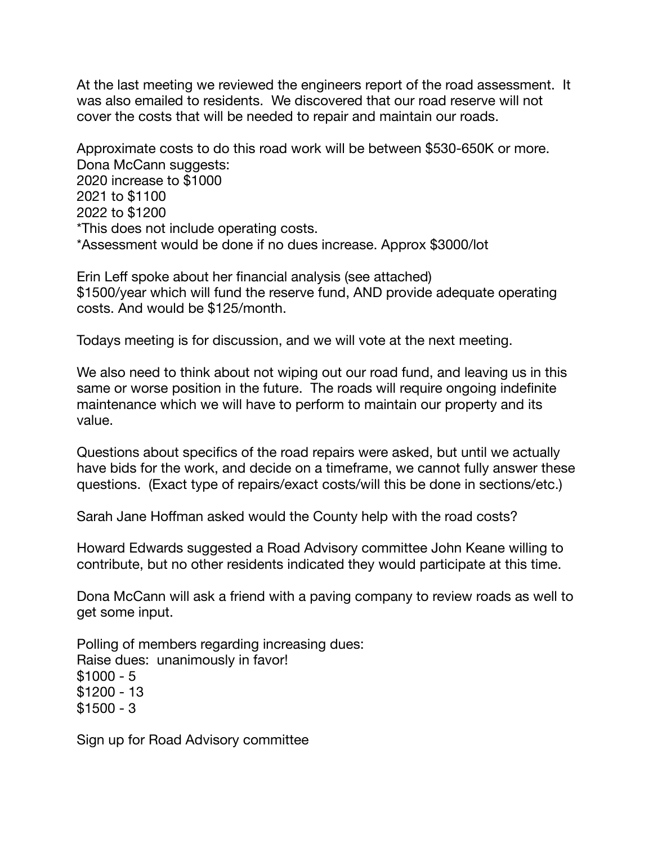At the last meeting we reviewed the engineers report of the road assessment. It was also emailed to residents. We discovered that our road reserve will not cover the costs that will be needed to repair and maintain our roads.

Approximate costs to do this road work will be between \$530-650K or more. Dona McCann suggests: 2020 increase to \$1000 2021 to \$1100 2022 to \$1200 \*This does not include operating costs. \*Assessment would be done if no dues increase. Approx \$3000/lot

Erin Leff spoke about her financial analysis (see attached) \$1500/year which will fund the reserve fund, AND provide adequate operating costs. And would be \$125/month.

Todays meeting is for discussion, and we will vote at the next meeting.

We also need to think about not wiping out our road fund, and leaving us in this same or worse position in the future. The roads will require ongoing indefinite maintenance which we will have to perform to maintain our property and its value.

Questions about specifics of the road repairs were asked, but until we actually have bids for the work, and decide on a timeframe, we cannot fully answer these questions. (Exact type of repairs/exact costs/will this be done in sections/etc.)

Sarah Jane Hoffman asked would the County help with the road costs?

Howard Edwards suggested a Road Advisory committee John Keane willing to contribute, but no other residents indicated they would participate at this time.

Dona McCann will ask a friend with a paving company to review roads as well to get some input.

Polling of members regarding increasing dues: Raise dues: unanimously in favor! \$1000 - 5 \$1200 - 13  $$1500 - 3$ 

Sign up for Road Advisory committee